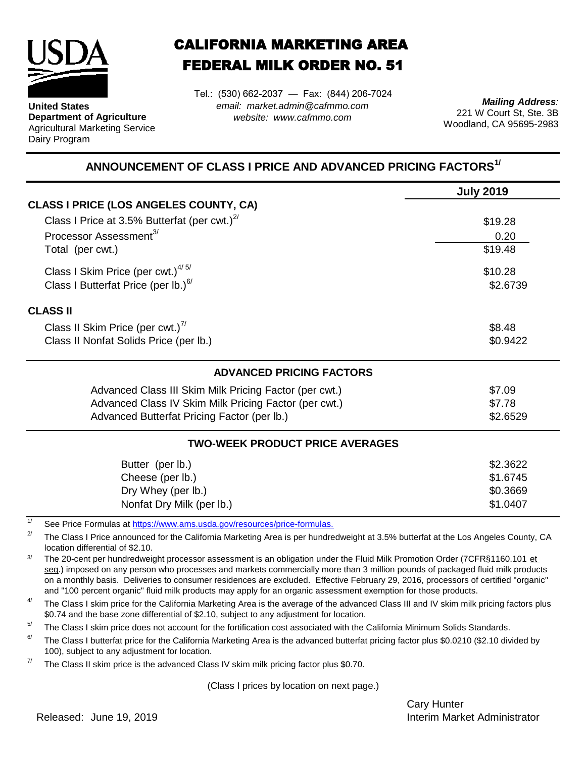

**United States Department of Agriculture** Agricultural Marketing Service Dairy Program

## CALIFORNIA MARKETING AREA FEDERAL MILK ORDER NO. 51

*email: market.admin@cafmmo.com website: www.cafmmo.com* Tel.: (530) 662-2037 — Fax: (844) 206-7024

*Mailing Address:* 221 W Court St, Ste. 3B Woodland, CA 95695-2983

## **ANNOUNCEMENT OF CLASS I PRICE AND ADVANCED PRICING FACTORS1/**

|                                                                                | <b>July 2019</b> |  |  |  |
|--------------------------------------------------------------------------------|------------------|--|--|--|
| <b>CLASS I PRICE (LOS ANGELES COUNTY, CA)</b>                                  |                  |  |  |  |
| Class I Price at 3.5% Butterfat (per cwt.) $^{27}$                             | \$19.28          |  |  |  |
| Processor Assessment <sup>3/</sup><br>0.20                                     |                  |  |  |  |
| Total (per cwt.)                                                               | \$19.48          |  |  |  |
| Class I Skim Price (per cwt.) $4/5/$                                           | \$10.28          |  |  |  |
| Class I Butterfat Price (per lb.) $^{6/}$<br>\$2.6739                          |                  |  |  |  |
| <b>CLASS II</b>                                                                |                  |  |  |  |
| Class II Skim Price (per cwt.) $^{7/}$                                         | \$8.48           |  |  |  |
| Class II Nonfat Solids Price (per lb.)                                         | \$0.9422         |  |  |  |
| <b>ADVANCED PRICING FACTORS</b>                                                |                  |  |  |  |
| Advanced Class III Skim Milk Pricing Factor (per cwt.)                         | \$7.09           |  |  |  |
| Advanced Class IV Skim Milk Pricing Factor (per cwt.)                          | \$7.78           |  |  |  |
| Advanced Butterfat Pricing Factor (per lb.)                                    | \$2.6529         |  |  |  |
| <b>TWO-WEEK PRODUCT PRICE AVERAGES</b>                                         |                  |  |  |  |
| Butter (per lb.)                                                               | \$2.3622         |  |  |  |
| Cheese (per lb.)                                                               | \$1.6745         |  |  |  |
| Dry Whey (per lb.)                                                             | \$0.3669         |  |  |  |
| Nonfat Dry Milk (per lb.)                                                      | \$1.0407         |  |  |  |
| 1/<br>See Price Formulas at https://www.ams.usda.gov/resources/price-formulas. |                  |  |  |  |

2/ The Class I Price announced for the California Marketing Area is per hundredweight at 3.5% butterfat at the Los Angeles County, CA location differential of \$2.10.

3/ The 20-cent per hundredweight processor assessment is an obligation under the Fluid Milk Promotion Order (7CFR§1160.101 et seg.) imposed on any person who processes and markets commercially more than 3 million pounds of packaged fluid milk products on a monthly basis. Deliveries to consumer residences are excluded. Effective February 29, 2016, processors of certified "organic" and "100 percent organic" fluid milk products may apply for an organic assessment exemption for those products.

4/ The Class I skim price for the California Marketing Area is the average of the advanced Class III and IV skim milk pricing factors plus \$0.74 and the base zone differential of \$2.10, subject to any adjustment for location.

 $5/$ The Class I skim price does not account for the fortification cost associated with the California Minimum Solids Standards.

6/ The Class I butterfat price for the California Marketing Area is the advanced butterfat pricing factor plus \$0.0210 (\$2.10 divided by 100), subject to any adjustment for location.

7/ The Class II skim price is the advanced Class IV skim milk pricing factor plus \$0.70.

(Class I prices by location on next page.)